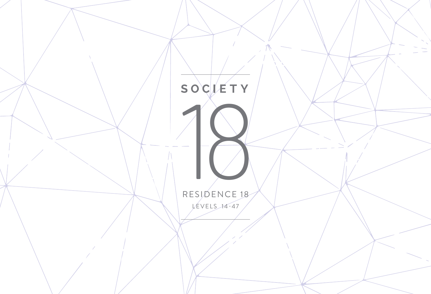